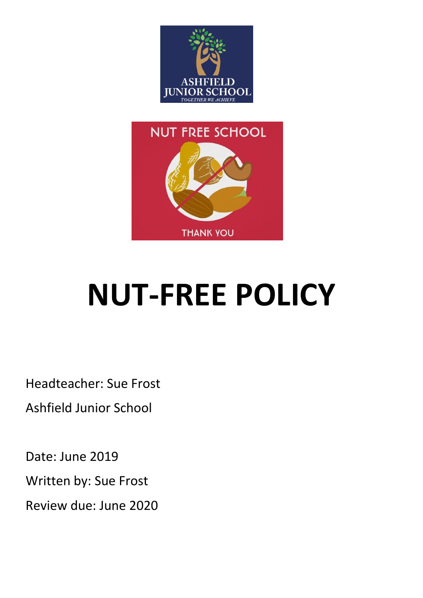



# **NUT-FREE POLICY**

Headteacher: Sue Frost

Ashfield Junior School

Date: June 2019

Written by: Sue Frost

Review due: June 2020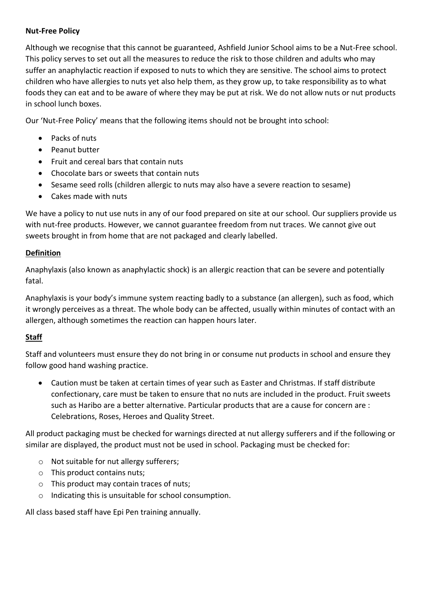## **Nut-Free Policy**

Although we recognise that this cannot be guaranteed, Ashfield Junior School aims to be a Nut-Free school. This policy serves to set out all the measures to reduce the risk to those children and adults who may suffer an anaphylactic reaction if exposed to nuts to which they are sensitive. The school aims to protect children who have allergies to nuts yet also help them, as they grow up, to take responsibility as to what foods they can eat and to be aware of where they may be put at risk. We do not allow nuts or nut products in school lunch boxes.

Our 'Nut-Free Policy' means that the following items should not be brought into school:

- Packs of nuts
- Peanut butter
- Fruit and cereal bars that contain nuts
- Chocolate bars or sweets that contain nuts
- Sesame seed rolls (children allergic to nuts may also have a severe reaction to sesame)
- Cakes made with nuts

We have a policy to nut use nuts in any of our food prepared on site at our school. Our suppliers provide us with nut-free products. However, we cannot guarantee freedom from nut traces. We cannot give out sweets brought in from home that are not packaged and clearly labelled.

### **Definition**

Anaphylaxis (also known as anaphylactic shock) is an allergic reaction that can be severe and potentially fatal.

Anaphylaxis is your body's immune system reacting badly to a substance (an allergen), such as food, which it wrongly perceives as a threat. The whole body can be affected, usually within minutes of contact with an allergen, although sometimes the reaction can happen hours later.

# **Staff**

Staff and volunteers must ensure they do not bring in or consume nut products in school and ensure they follow good hand washing practice.

 Caution must be taken at certain times of year such as Easter and Christmas. If staff distribute confectionary, care must be taken to ensure that no nuts are included in the product. Fruit sweets such as Haribo are a better alternative. Particular products that are a cause for concern are : Celebrations, Roses, Heroes and Quality Street.

All product packaging must be checked for warnings directed at nut allergy sufferers and if the following or similar are displayed, the product must not be used in school. Packaging must be checked for:

- o Not suitable for nut allergy sufferers;
- o This product contains nuts;
- o This product may contain traces of nuts;
- o Indicating this is unsuitable for school consumption.

All class based staff have Epi Pen training annually.